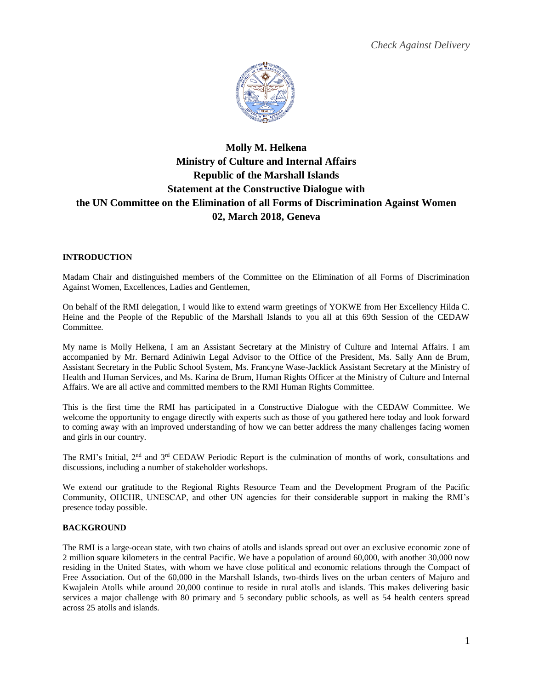*Check Against Delivery*



# **Molly M. Helkena Ministry of Culture and Internal Affairs Republic of the Marshall Islands Statement at the Constructive Dialogue with the UN Committee on the Elimination of all Forms of Discrimination Against Women 02, March 2018, Geneva**

# **INTRODUCTION**

Madam Chair and distinguished members of the Committee on the Elimination of all Forms of Discrimination Against Women, Excellences, Ladies and Gentlemen,

On behalf of the RMI delegation, I would like to extend warm greetings of YOKWE from Her Excellency Hilda C. Heine and the People of the Republic of the Marshall Islands to you all at this 69th Session of the CEDAW Committee.

My name is Molly Helkena, I am an Assistant Secretary at the Ministry of Culture and Internal Affairs. I am accompanied by Mr. Bernard Adiniwin Legal Advisor to the Office of the President, Ms. Sally Ann de Brum, Assistant Secretary in the Public School System, Ms. Francyne Wase-Jacklick Assistant Secretary at the Ministry of Health and Human Services, and Ms. Karina de Brum, Human Rights Officer at the Ministry of Culture and Internal Affairs. We are all active and committed members to the RMI Human Rights Committee.

This is the first time the RMI has participated in a Constructive Dialogue with the CEDAW Committee. We welcome the opportunity to engage directly with experts such as those of you gathered here today and look forward to coming away with an improved understanding of how we can better address the many challenges facing women and girls in our country.

The RMI's Initial, 2nd and 3rd CEDAW Periodic Report is the culmination of months of work, consultations and discussions, including a number of stakeholder workshops.

We extend our gratitude to the Regional Rights Resource Team and the Development Program of the Pacific Community, OHCHR, UNESCAP, and other UN agencies for their considerable support in making the RMI's presence today possible.

# **BACKGROUND**

The RMI is a large-ocean state, with two chains of atolls and islands spread out over an exclusive economic zone of 2 million square kilometers in the central Pacific. We have a population of around 60,000, with another 30,000 now residing in the United States, with whom we have close political and economic relations through the Compact of Free Association. Out of the 60,000 in the Marshall Islands, two-thirds lives on the urban centers of Majuro and Kwajalein Atolls while around 20,000 continue to reside in rural atolls and islands. This makes delivering basic services a major challenge with 80 primary and 5 secondary public schools, as well as 54 health centers spread across 25 atolls and islands.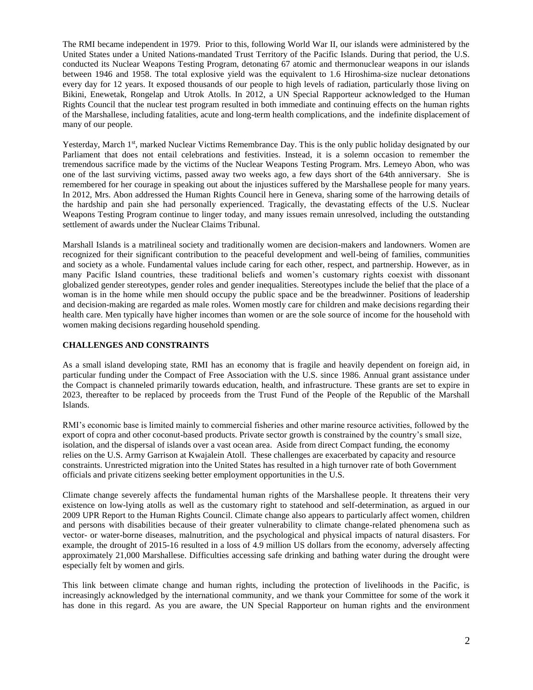The RMI became independent in 1979. Prior to this, following World War II, our islands were administered by the United States under a United Nations-mandated Trust Territory of the Pacific Islands. During that period, the U.S. conducted its Nuclear Weapons Testing Program, detonating 67 atomic and thermonuclear weapons in our islands between 1946 and 1958. The total explosive yield was the equivalent to 1.6 Hiroshima-size nuclear detonations every day for 12 years. It exposed thousands of our people to high levels of radiation, particularly those living on Bikini, Enewetak, Rongelap and Utrok Atolls. In 2012, a UN Special Rapporteur acknowledged to the Human Rights Council that the nuclear test program resulted in both immediate and continuing effects on the human rights of the Marshallese, including fatalities, acute and long-term health complications, and the indefinite displacement of many of our people.

Yesterday, March 1<sup>st</sup>, marked Nuclear Victims Remembrance Day. This is the only public holiday designated by our Parliament that does not entail celebrations and festivities. Instead, it is a solemn occasion to remember the tremendous sacrifice made by the victims of the Nuclear Weapons Testing Program. Mrs. Lemeyo Abon, who was one of the last surviving victims, passed away two weeks ago, a few days short of the 64th anniversary. She is remembered for her courage in speaking out about the injustices suffered by the Marshallese people for many years. In 2012, Mrs. Abon addressed the Human Rights Council here in Geneva, sharing some of the harrowing details of the hardship and pain she had personally experienced. Tragically, the devastating effects of the U.S. Nuclear Weapons Testing Program continue to linger today, and many issues remain unresolved, including the outstanding settlement of awards under the Nuclear Claims Tribunal.

Marshall Islands is a matrilineal society and traditionally women are decision-makers and landowners. Women are recognized for their significant contribution to the peaceful development and well-being of families, communities and society as a whole. Fundamental values include caring for each other, respect, and partnership. However, as in many Pacific Island countries, these traditional beliefs and women's customary rights coexist with dissonant globalized gender stereotypes, gender roles and gender inequalities. Stereotypes include the belief that the place of a woman is in the home while men should occupy the public space and be the breadwinner. Positions of leadership and decision-making are regarded as male roles. Women mostly care for children and make decisions regarding their health care. Men typically have higher incomes than women or are the sole source of income for the household with women making decisions regarding household spending.

# **CHALLENGES AND CONSTRAINTS**

As a small island developing state, RMI has an economy that is fragile and heavily dependent on foreign aid, in particular funding under the Compact of Free Association with the U.S. since 1986. Annual grant assistance under the Compact is channeled primarily towards education, health, and infrastructure. These grants are set to expire in 2023, thereafter to be replaced by proceeds from the Trust Fund of the People of the Republic of the Marshall Islands.

RMI's economic base is limited mainly to commercial fisheries and other marine resource activities, followed by the export of copra and other coconut-based products. Private sector growth is constrained by the country's small size, isolation, and the dispersal of islands over a vast ocean area. Aside from direct Compact funding, the economy relies on the U.S. Army Garrison at Kwajalein Atoll. These challenges are exacerbated by capacity and resource constraints. Unrestricted migration into the United States has resulted in a high turnover rate of both Government officials and private citizens seeking better employment opportunities in the U.S.

Climate change severely affects the fundamental human rights of the Marshallese people. It threatens their very existence on low-lying atolls as well as the customary right to statehood and self-determination, as argued in our 2009 UPR Report to the Human Rights Council. Climate change also appears to particularly affect women, children and persons with disabilities because of their greater vulnerability to climate change-related phenomena such as vector- or water-borne diseases, malnutrition, and the psychological and physical impacts of natural disasters. For example, the drought of 2015-16 resulted in a loss of 4.9 million US dollars from the economy, adversely affecting approximately 21,000 Marshallese. Difficulties accessing safe drinking and bathing water during the drought were especially felt by women and girls.

This link between climate change and human rights, including the protection of livelihoods in the Pacific, is increasingly acknowledged by the international community, and we thank your Committee for some of the work it has done in this regard. As you are aware, the UN Special Rapporteur on human rights and the environment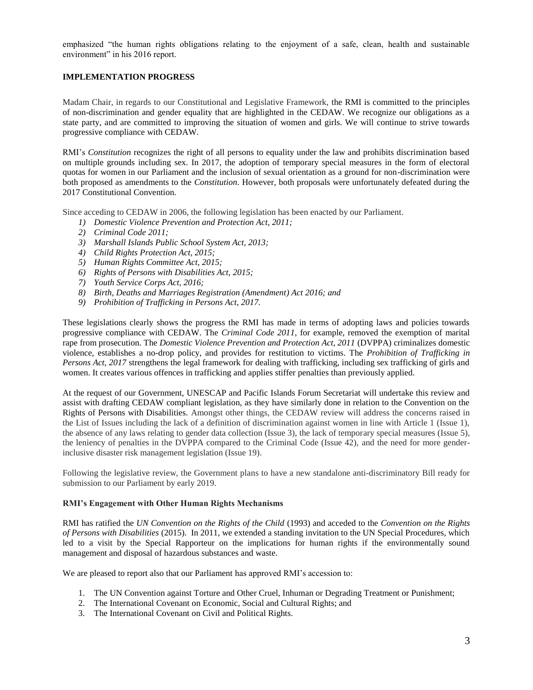emphasized "the human rights obligations relating to the enjoyment of a safe, clean, health and sustainable environment" in his 2016 report.

# **IMPLEMENTATION PROGRESS**

Madam Chair, in regards to our Constitutional and Legislative Framework, the RMI is committed to the principles of non-discrimination and gender equality that are highlighted in the CEDAW. We recognize our obligations as a state party, and are committed to improving the situation of women and girls. We will continue to strive towards progressive compliance with CEDAW.

RMI's *Constitution* recognizes the right of all persons to equality under the law and prohibits discrimination based on multiple grounds including sex. In 2017, the adoption of temporary special measures in the form of electoral quotas for women in our Parliament and the inclusion of sexual orientation as a ground for non-discrimination were both proposed as amendments to the *Constitution*. However, both proposals were unfortunately defeated during the 2017 Constitutional Convention.

Since acceding to CEDAW in 2006, the following legislation has been enacted by our Parliament*.*

- *1) Domestic Violence Prevention and Protection Act, 2011;*
- *2) Criminal Code 2011;*
- *3) Marshall Islands Public School System Act, 2013;*
- *4) Child Rights Protection Act, 2015;*
- *5) Human Rights Committee Act, 2015;*
- *6) Rights of Persons with Disabilities Act, 2015;*
- *7) Youth Service Corps Act, 2016;*
- *8) Birth, Deaths and Marriages Registration (Amendment) Act 2016; and*
- *9) Prohibition of Trafficking in Persons Act, 2017.*

These legislations clearly shows the progress the RMI has made in terms of adopting laws and policies towards progressive compliance with CEDAW. The *Criminal Code 2011*, for example, removed the exemption of marital rape from prosecution. The *Domestic Violence Prevention and Protection Act, 2011* (DVPPA) criminalizes domestic violence, establishes a no-drop policy, and provides for restitution to victims. The *Prohibition of Trafficking in Persons Act, 2017* strengthens the legal framework for dealing with trafficking, including sex trafficking of girls and women. It creates various offences in trafficking and applies stiffer penalties than previously applied.

At the request of our Government, UNESCAP and Pacific Islands Forum Secretariat will undertake this review and assist with drafting CEDAW compliant legislation, as they have similarly done in relation to the Convention on the Rights of Persons with Disabilities. Amongst other things, the CEDAW review will address the concerns raised in the List of Issues including the lack of a definition of discrimination against women in line with Article 1 (Issue 1), the absence of any laws relating to gender data collection (Issue 3), the lack of temporary special measures (Issue 5), the leniency of penalties in the DVPPA compared to the Criminal Code (Issue 42), and the need for more genderinclusive disaster risk management legislation (Issue 19).

Following the legislative review, the Government plans to have a new standalone anti-discriminatory Bill ready for submission to our Parliament by early 2019.

#### **RMI's Engagement with Other Human Rights Mechanisms**

RMI has ratified the *UN Convention on the Rights of the Child* (1993) and acceded to the *Convention on the Rights of Persons with Disabilities* (2015). In 2011, we extended a standing invitation to the UN Special Procedures, which led to a visit by the Special Rapporteur on the implications for human rights if the environmentally sound management and disposal of hazardous substances and waste.

We are pleased to report also that our Parliament has approved RMI's accession to:

- 1. The UN Convention against Torture and Other Cruel, Inhuman or Degrading Treatment or Punishment;
- 2. The International Covenant on Economic, Social and Cultural Rights; and
- 3. The International Covenant on Civil and Political Rights.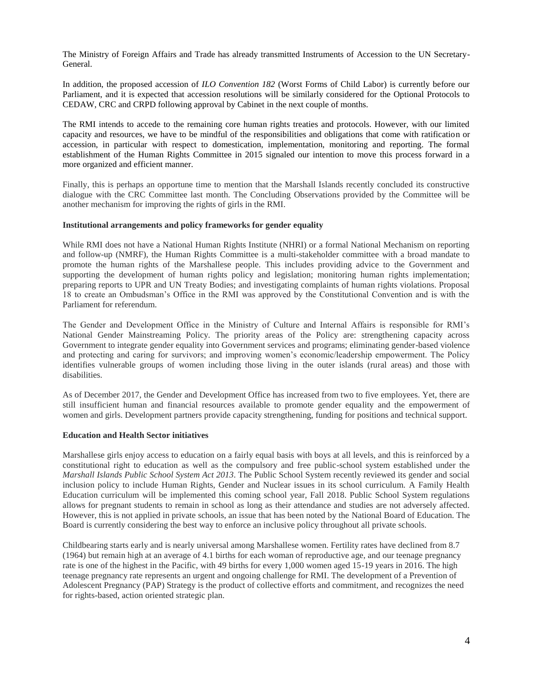The Ministry of Foreign Affairs and Trade has already transmitted Instruments of Accession to the UN Secretary-General.

In addition, the proposed accession of *ILO Convention 182* (Worst Forms of Child Labor) is currently before our Parliament, and it is expected that accession resolutions will be similarly considered for the Optional Protocols to CEDAW, CRC and CRPD following approval by Cabinet in the next couple of months.

The RMI intends to accede to the remaining core human rights treaties and protocols. However, with our limited capacity and resources, we have to be mindful of the responsibilities and obligations that come with ratification or accession, in particular with respect to domestication, implementation, monitoring and reporting. The formal establishment of the Human Rights Committee in 2015 signaled our intention to move this process forward in a more organized and efficient manner.

Finally, this is perhaps an opportune time to mention that the Marshall Islands recently concluded its constructive dialogue with the CRC Committee last month. The Concluding Observations provided by the Committee will be another mechanism for improving the rights of girls in the RMI.

#### **Institutional arrangements and policy frameworks for gender equality**

While RMI does not have a National Human Rights Institute (NHRI) or a formal National Mechanism on reporting and follow-up (NMRF), the Human Rights Committee is a multi-stakeholder committee with a broad mandate to promote the human rights of the Marshallese people. This includes providing advice to the Government and supporting the development of human rights policy and legislation; monitoring human rights implementation; preparing reports to UPR and UN Treaty Bodies; and investigating complaints of human rights violations. Proposal 18 to create an Ombudsman's Office in the RMI was approved by the Constitutional Convention and is with the Parliament for referendum.

The Gender and Development Office in the Ministry of Culture and Internal Affairs is responsible for RMI's National Gender Mainstreaming Policy. The priority areas of the Policy are: strengthening capacity across Government to integrate gender equality into Government services and programs; eliminating gender-based violence and protecting and caring for survivors; and improving women's economic/leadership empowerment. The Policy identifies vulnerable groups of women including those living in the outer islands (rural areas) and those with disabilities.

As of December 2017, the Gender and Development Office has increased from two to five employees. Yet, there are still insufficient human and financial resources available to promote gender equality and the empowerment of women and girls. Development partners provide capacity strengthening, funding for positions and technical support.

#### **Education and Health Sector initiatives**

Marshallese girls enjoy access to education on a fairly equal basis with boys at all levels, and this is reinforced by a constitutional right to education as well as the compulsory and free public-school system established under the *Marshall Islands Public School System Act 2013*. The Public School System recently reviewed its gender and social inclusion policy to include Human Rights, Gender and Nuclear issues in its school curriculum. A Family Health Education curriculum will be implemented this coming school year, Fall 2018. Public School System regulations allows for pregnant students to remain in school as long as their attendance and studies are not adversely affected. However, this is not applied in private schools, an issue that has been noted by the National Board of Education. The Board is currently considering the best way to enforce an inclusive policy throughout all private schools.

Childbearing starts early and is nearly universal among Marshallese women. Fertility rates have declined from 8.7 (1964) but remain high at an average of 4.1 births for each woman of reproductive age, and our teenage pregnancy rate is one of the highest in the Pacific, with 49 births for every 1,000 women aged 15-19 years in 2016. The high teenage pregnancy rate represents an urgent and ongoing challenge for RMI. The development of a Prevention of Adolescent Pregnancy (PAP) Strategy is the product of collective efforts and commitment, and recognizes the need for rights-based, action oriented strategic plan.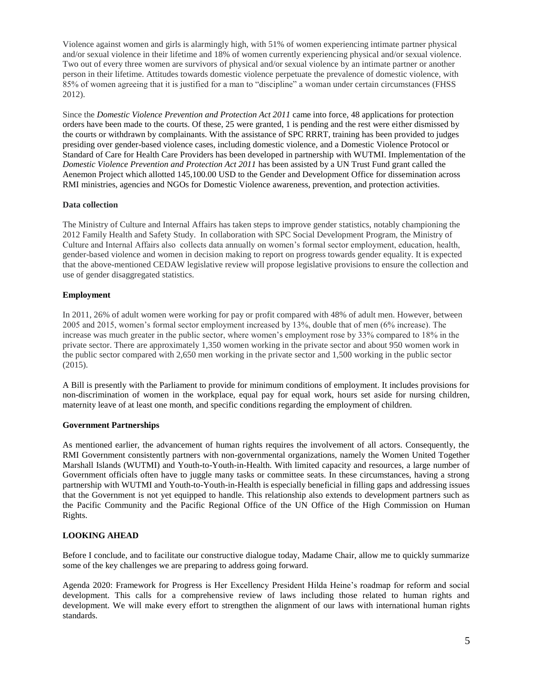Violence against women and girls is alarmingly high, with 51% of women experiencing intimate partner physical and/or sexual violence in their lifetime and 18% of women currently experiencing physical and/or sexual violence. Two out of every three women are survivors of physical and/or sexual violence by an intimate partner or another person in their lifetime. Attitudes towards domestic violence perpetuate the prevalence of domestic violence, with 85% of women agreeing that it is justified for a man to "discipline" a woman under certain circumstances (FHSS 2012).

Since the *Domestic Violence Prevention and Protection Act 2011* came into force, 48 applications for protection orders have been made to the courts. Of these, 25 were granted, 1 is pending and the rest were either dismissed by the courts or withdrawn by complainants. With the assistance of SPC RRRT, training has been provided to judges presiding over gender-based violence cases, including domestic violence, and a Domestic Violence Protocol or Standard of Care for Health Care Providers has been developed in partnership with WUTMI. Implementation of the *Domestic Violence Prevention and Protection Act 2011* has been assisted by a UN Trust Fund grant called the Aenemon Project which allotted 145,100.00 USD to the Gender and Development Office for dissemination across RMI ministries, agencies and NGOs for Domestic Violence awareness, prevention, and protection activities.

### **Data collection**

The Ministry of Culture and Internal Affairs has taken steps to improve gender statistics, notably championing the 2012 Family Health and Safety Study. In collaboration with SPC Social Development Program, the Ministry of Culture and Internal Affairs also collects data annually on women's formal sector employment, education, health, gender-based violence and women in decision making to report on progress towards gender equality. It is expected that the above-mentioned CEDAW legislative review will propose legislative provisions to ensure the collection and use of gender disaggregated statistics.

# **Employment**

In 2011, 26% of adult women were working for pay or profit compared with 48% of adult men. However, between 2005 and 2015, women's formal sector employment increased by 13%, double that of men (6% increase). The increase was much greater in the public sector, where women's employment rose by 33% compared to 18% in the private sector. There are approximately 1,350 women working in the private sector and about 950 women work in the public sector compared with 2,650 men working in the private sector and 1,500 working in the public sector (2015).

A Bill is presently with the Parliament to provide for minimum conditions of employment. It includes provisions for non-discrimination of women in the workplace, equal pay for equal work, hours set aside for nursing children, maternity leave of at least one month, and specific conditions regarding the employment of children.

# **Government Partnerships**

As mentioned earlier, the advancement of human rights requires the involvement of all actors. Consequently, the RMI Government consistently partners with non-governmental organizations, namely the Women United Together Marshall Islands (WUTMI) and Youth-to-Youth-in-Health. With limited capacity and resources, a large number of Government officials often have to juggle many tasks or committee seats. In these circumstances, having a strong partnership with WUTMI and Youth-to-Youth-in-Health is especially beneficial in filling gaps and addressing issues that the Government is not yet equipped to handle. This relationship also extends to development partners such as the Pacific Community and the Pacific Regional Office of the UN Office of the High Commission on Human Rights.

# **LOOKING AHEAD**

Before I conclude, and to facilitate our constructive dialogue today, Madame Chair, allow me to quickly summarize some of the key challenges we are preparing to address going forward.

Agenda 2020: Framework for Progress is Her Excellency President Hilda Heine's roadmap for reform and social development. This calls for a comprehensive review of laws including those related to human rights and development. We will make every effort to strengthen the alignment of our laws with international human rights standards.